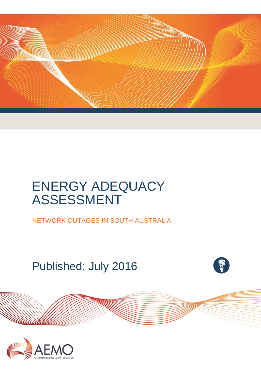

# ENERGY ADEQUACY ASSESSMENT

NETWORK OUTAGES IN SOUTH AUSTRALIA

Published: July 2016



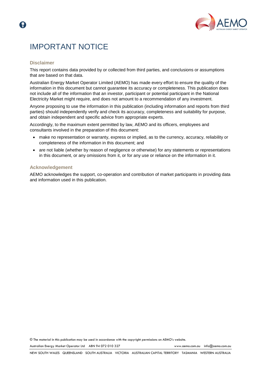

### IMPORTANT NOTICE

#### **Disclaimer**

This report contains data provided by or collected from third parties, and conclusions or assumptions that are based on that data.

Australian Energy Market Operator Limited (AEMO) has made every effort to ensure the quality of the information in this document but cannot guarantee its accuracy or completeness. This publication does not include all of the information that an investor, participant or potential participant in the National Electricity Market might require, and does not amount to a recommendation of any investment.

Anyone proposing to use the information in this publication (including information and reports from third parties) should independently verify and check its accuracy, completeness and suitability for purpose, and obtain independent and specific advice from appropriate experts.

Accordingly, to the maximum extent permitted by law, AEMO and its officers, employees and consultants involved in the preparation of this document:

- make no representation or warranty, express or implied, as to the currency, accuracy, reliability or completeness of the information in this document; and
- are not liable (whether by reason of negligence or otherwise) for any statements or representations in this document, or any omissions from it, or for any use or reliance on the information in it.

#### **Acknowledgement**

AEMO acknowledges the support, co-operation and contribution of market participants in providing data and information used in this publication.

© The material in this publication may be used in accordance with th[e copyright permissions](http://www.aemo.com.au/en/About-AEMO/Copyright-Permissions) on AEMO's website.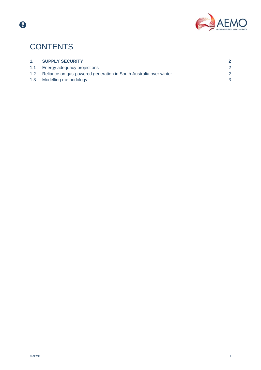

## **CONTENTS**

 $\bigcirc$ 

| 1. | <b>SUPPLY SECURITY</b>                                                |  |
|----|-----------------------------------------------------------------------|--|
|    | 1.1 Energy adequacy projections                                       |  |
|    | 1.2 Reliance on gas-powered generation in South Australia over winter |  |
|    | 1.3 Modelling methodology                                             |  |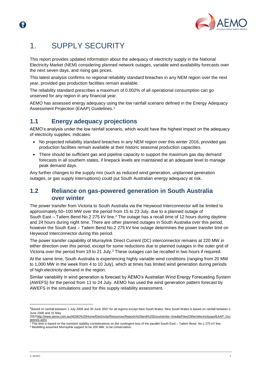

### <span id="page-3-0"></span>1. SUPPLY SECURITY

This report provides updated information about the adequacy of electricity supply in the National Electricity Market (NEM) considering planned network outages, variable wind availability forecasts over the next seven days, and rising gas prices.

This latest analysis confirms no regional reliability standard breaches in any NEM region over the next year, provided gas production facilities remain available.

The reliability standard prescribes a maximum of 0.002% of all operational consumption can go unserved for any region in any financial year.

AEMO has assessed energy adequacy using the low rainfall scenario defined in the Energy Adequacy Assessment Projection (EAAP) Guidelines. 1

### <span id="page-3-1"></span>**1.1 Energy adequacy projections**

AEMO's analysis under the low rainfall scenario, which would have the highest impact on the adequacy of electricity supplies, indicates:

- No projected reliability standard breaches in any NEM region over this winter 2016, provided gas production facilities remain available at their historic seasonal production capacities.
- There should be sufficient gas and pipeline capacity to support the maximum gas day demand forecasts in all southern states, if linepack levels are maintained at an adequate level to manage peak demand days.

Any further changes to the supply mix (such as reduced wind generation, unplanned generation outages, or gas supply interruptions) could put South Australian energy adequacy at risk.

### <span id="page-3-2"></span>**1.2 Reliance on gas-powered generation in South Australia over winter**

The power transfer from Victoria to South Australia via the Heywood Interconnector will be limited to approximately 50–100 MW over the period from 15 to 23 July, due to a planned outage of South East – Tailem Bend No.2 275 kV line.<sup>2</sup> The outage has a recall time of 12 hours during daytime and 24 hours during night time. There are other planned outages in South Australia over this period, however the South East – Tailem Bend No.2 275 kV line outage determines the power transfer limit on Heywood Interconnector during this period.

The power transfer capability of Murraylink Direct Current (DC) interconnector remains at 220 MW in either direction over this period, except for some reductions due to planned outages in the outer grid of Victoria over the period from 19 to 21 July.<sup>3</sup> These outages can be recalled in two hours if required.

At the same time, South Australia is experiencing highly variable wind conditions (ranging from 20 MW to 1,000 MW in the week from 4 to 10 July), which at times has limited wind generation during periods of high electricity demand in the region.

Similar variability in wind generation is forecast by AEMO's Australian Wind Energy Forecasting System (AWEFS) for the period from 11 to 24 July. AEMO has used the wind generation pattern forecast by AWEFS in the simulations used for this supply reliability assessment.

l

<sup>&</sup>lt;sup>1</sup>Based on rainfall between 1 July 2006 and 30 June 2007 for all regions except New South Wales. New South Wales is based on rainfall between 1 June 2006 and 31 May

<sup>200</sup>[7http://www.aemo.com.au/AEMO%20Home/Electricity/Resources/Reports%20and%20Documents/~/media/Files/Other/electricityops/EAAP\\_Gui](http://www.aemo.com.au/AEMO%20Home/Electricity/Resources/Reports%20and%20Documents/~/media/Files/Other/electricityops/EAAP_Guidelines.ashx) <u>[delines.ashx](http://www.aemo.com.au/AEMO%20Home/Electricity/Resources/Reports%20and%20Documents/~/media/Files/Other/electricityops/EAAP_Guidelines.ashx)</u><br><sup>2</sup> This limit is based on the transient stability considerations on the contingent loss of the parallel South East – Tailem Bend No.1 275 kV line.

<sup>&</sup>lt;sup>3</sup> Modelling assumed Murraylink support to be 200 MW, to be conservative.